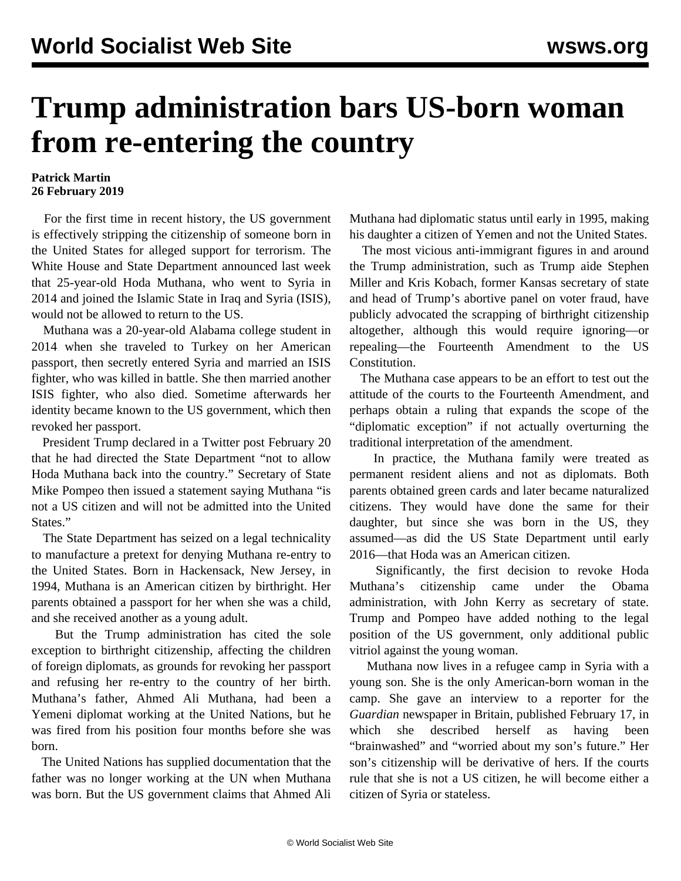## **Trump administration bars US-born woman from re-entering the country**

## **Patrick Martin 26 February 2019**

 For the first time in recent history, the US government is effectively stripping the citizenship of someone born in the United States for alleged support for terrorism. The White House and State Department announced last week that 25-year-old Hoda Muthana, who went to Syria in 2014 and joined the Islamic State in Iraq and Syria (ISIS), would not be allowed to return to the US.

 Muthana was a 20-year-old Alabama college student in 2014 when she traveled to Turkey on her American passport, then secretly entered Syria and married an ISIS fighter, who was killed in battle. She then married another ISIS fighter, who also died. Sometime afterwards her identity became known to the US government, which then revoked her passport.

 President Trump declared in a Twitter post February 20 that he had directed the State Department "not to allow Hoda Muthana back into the country." Secretary of State Mike Pompeo then issued a statement saying Muthana "is not a US citizen and will not be admitted into the United States."

 The State Department has seized on a legal technicality to manufacture a pretext for denying Muthana re-entry to the United States. Born in Hackensack, New Jersey, in 1994, Muthana is an American citizen by birthright. Her parents obtained a passport for her when she was a child, and she received another as a young adult.

 But the Trump administration has cited the sole exception to birthright citizenship, affecting the children of foreign diplomats, as grounds for revoking her passport and refusing her re-entry to the country of her birth. Muthana's father, Ahmed Ali Muthana, had been a Yemeni diplomat working at the United Nations, but he was fired from his position four months before she was born.

 The United Nations has supplied documentation that the father was no longer working at the UN when Muthana was born. But the US government claims that Ahmed Ali Muthana had diplomatic status until early in 1995, making his daughter a citizen of Yemen and not the United States.

 The most vicious anti-immigrant figures in and around the Trump administration, such as Trump aide Stephen Miller and Kris Kobach, former Kansas secretary of state and head of Trump's abortive panel on voter fraud, have publicly advocated the scrapping of birthright citizenship altogether, although this would require ignoring—or repealing—the Fourteenth Amendment to the US Constitution.

 The Muthana case appears to be an effort to test out the attitude of the courts to the Fourteenth Amendment, and perhaps obtain a ruling that expands the scope of the "diplomatic exception" if not actually overturning the traditional interpretation of the amendment.

 In practice, the Muthana family were treated as permanent resident aliens and not as diplomats. Both parents obtained green cards and later became naturalized citizens. They would have done the same for their daughter, but since she was born in the US, they assumed—as did the US State Department until early 2016—that Hoda was an American citizen.

 Significantly, the first decision to revoke Hoda Muthana's citizenship came under the Obama administration, with John Kerry as secretary of state. Trump and Pompeo have added nothing to the legal position of the US government, only additional public vitriol against the young woman.

 Muthana now lives in a refugee camp in Syria with a young son. She is the only American-born woman in the camp. She gave an interview to a reporter for the *Guardian* newspaper in Britain, published February 17, in which she described herself as having been "brainwashed" and "worried about my son's future." Her son's citizenship will be derivative of hers. If the courts rule that she is not a US citizen, he will become either a citizen of Syria or stateless.